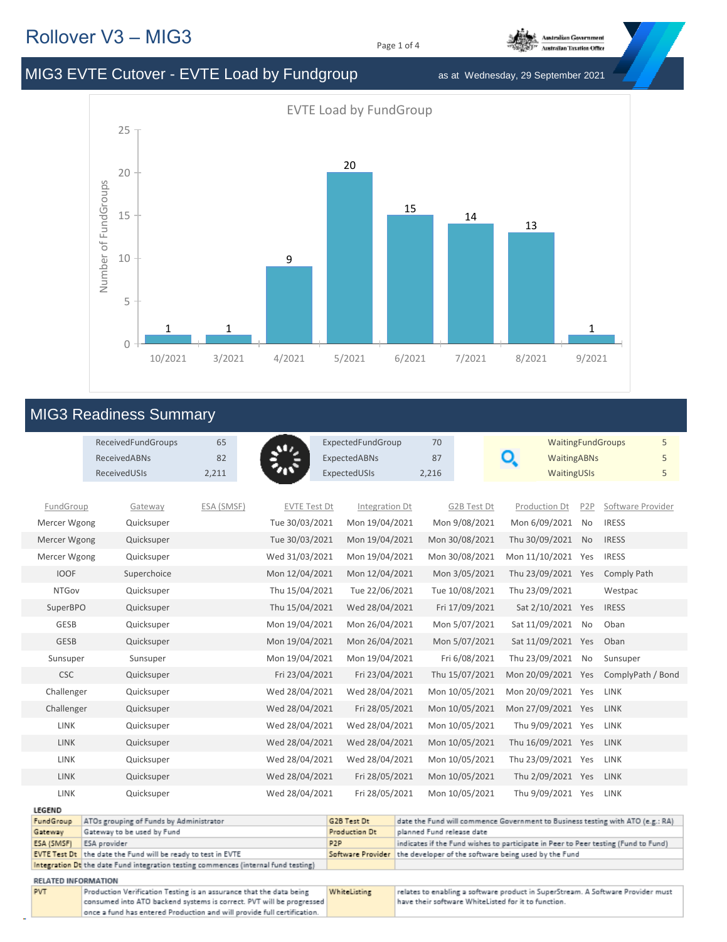## Rollover V3 – MIG3

Page 1 of 4



## MIG3 EVTE Cutover - EVTE Load by Fundgroup as at Wednesday, 29 September 2021



## MIG3 Readiness Summary

|                                                                         | ReceivedFundGroups                                                                 | 65         | $\mathbf{u}$        | ExpectedFundGroup                                                                                                                          | 70                        |                | <b>WaitingFundGroups</b>                                                        |                  | 5                 |
|-------------------------------------------------------------------------|------------------------------------------------------------------------------------|------------|---------------------|--------------------------------------------------------------------------------------------------------------------------------------------|---------------------------|----------------|---------------------------------------------------------------------------------|------------------|-------------------|
|                                                                         | <b>ReceivedABNs</b>                                                                | 82         |                     | ExpectedABNs                                                                                                                               | 87                        |                | Q<br><b>WaitingABNs</b>                                                         |                  | 5                 |
|                                                                         | ReceivedUSIs                                                                       | 2,211      |                     | ExpectedUSIs                                                                                                                               | 2,216                     |                | WaitingUSIs                                                                     |                  | 5                 |
|                                                                         |                                                                                    |            |                     |                                                                                                                                            |                           |                |                                                                                 |                  |                   |
| FundGroup                                                               | Gateway                                                                            | ESA (SMSF) | <b>EVTE Test Dt</b> | Integration Dt                                                                                                                             |                           | G2B Test Dt    | Production Dt                                                                   | P <sub>2</sub> P | Software Provider |
| Mercer Wgong                                                            | Quicksuper                                                                         |            | Tue 30/03/2021      | Mon 19/04/2021                                                                                                                             |                           | Mon 9/08/2021  | Mon 6/09/2021                                                                   | <b>No</b>        | <b>IRESS</b>      |
| Mercer Wgong                                                            | Quicksuper                                                                         |            | Tue 30/03/2021      | Mon 19/04/2021                                                                                                                             |                           | Mon 30/08/2021 | Thu 30/09/2021                                                                  | <b>No</b>        | <b>IRESS</b>      |
| Mercer Wgong                                                            | Quicksuper                                                                         |            | Wed 31/03/2021      | Mon 19/04/2021                                                                                                                             |                           | Mon 30/08/2021 | Mon 11/10/2021 Yes                                                              |                  | <b>IRESS</b>      |
| <b>IOOF</b>                                                             | Superchoice                                                                        |            | Mon 12/04/2021      | Mon 12/04/2021                                                                                                                             |                           | Mon 3/05/2021  | Thu 23/09/2021 Yes                                                              |                  | Comply Path       |
| <b>NTGov</b>                                                            | Quicksuper                                                                         |            | Thu 15/04/2021      | Tue 22/06/2021                                                                                                                             |                           | Tue 10/08/2021 | Thu 23/09/2021                                                                  |                  | Westpac           |
| SuperBPO                                                                | Quicksuper                                                                         |            | Thu 15/04/2021      | Wed 28/04/2021                                                                                                                             |                           | Fri 17/09/2021 | Sat 2/10/2021 Yes                                                               |                  | <b>IRESS</b>      |
| <b>GESB</b>                                                             | Quicksuper                                                                         |            | Mon 19/04/2021      | Mon 26/04/2021                                                                                                                             |                           | Mon 5/07/2021  | Sat 11/09/2021                                                                  | <b>No</b>        | Oban              |
| <b>GESB</b>                                                             | Quicksuper                                                                         |            | Mon 19/04/2021      | Mon 26/04/2021                                                                                                                             |                           | Mon 5/07/2021  | Sat 11/09/2021 Yes                                                              |                  | Oban              |
| Sunsuper                                                                | Sunsuper                                                                           |            | Mon 19/04/2021      | Mon 19/04/2021                                                                                                                             |                           | Fri 6/08/2021  | Thu 23/09/2021                                                                  | No               | Sunsuper          |
| <b>CSC</b>                                                              | Quicksuper                                                                         |            | Fri 23/04/2021      | Fri 23/04/2021                                                                                                                             |                           | Thu 15/07/2021 | Mon 20/09/2021 Yes                                                              |                  | ComplyPath / Bond |
| Challenger                                                              | Quicksuper                                                                         |            | Wed 28/04/2021      | Wed 28/04/2021                                                                                                                             |                           | Mon 10/05/2021 | Mon 20/09/2021 Yes                                                              |                  | <b>LINK</b>       |
| Challenger                                                              | Quicksuper                                                                         |            | Wed 28/04/2021      | Fri 28/05/2021                                                                                                                             |                           | Mon 10/05/2021 | Mon 27/09/2021 Yes                                                              |                  | <b>LINK</b>       |
| <b>LINK</b>                                                             | Quicksuper                                                                         |            | Wed 28/04/2021      | Wed 28/04/2021                                                                                                                             |                           | Mon 10/05/2021 | Thu 9/09/2021 Yes                                                               |                  | LINK              |
| <b>LINK</b>                                                             | Quicksuper                                                                         |            | Wed 28/04/2021      | Wed 28/04/2021                                                                                                                             |                           | Mon 10/05/2021 | Thu 16/09/2021 Yes                                                              |                  | <b>LINK</b>       |
| <b>LINK</b>                                                             | Quicksuper                                                                         |            | Wed 28/04/2021      | Wed 28/04/2021                                                                                                                             |                           | Mon 10/05/2021 | Thu 23/09/2021 Yes                                                              |                  | <b>LINK</b>       |
| <b>LINK</b>                                                             | Quicksuper                                                                         |            | Wed 28/04/2021      | Fri 28/05/2021                                                                                                                             |                           | Mon 10/05/2021 | Thu 2/09/2021 Yes                                                               |                  | <b>LINK</b>       |
| <b>LINK</b>                                                             | Quicksuper                                                                         |            | Wed 28/04/2021      | Fri 28/05/2021                                                                                                                             |                           | Mon 10/05/2021 | Thu 9/09/2021 Yes                                                               |                  | <b>LINK</b>       |
| <b>LEGEND</b>                                                           |                                                                                    |            |                     |                                                                                                                                            |                           |                |                                                                                 |                  |                   |
| FundGroup                                                               | ATOs grouping of Funds by Administrator                                            |            |                     | G2B Test Dt                                                                                                                                |                           |                | date the Fund will commence Government to Business testing with ATO (e.g.: RA)  |                  |                   |
| Gateway<br>ESA (SMSF)                                                   | Gateway to be used by Fund<br>ESA provider                                         |            |                     | Production Dt<br>P <sub>2</sub> P                                                                                                          | planned Fund release date |                |                                                                                 |                  |                   |
|                                                                         | <b>EVTE Test Dt</b> the date the Fund will be ready to test in EVTE                |            | Software Provider   | indicates if the Fund wishes to participate in Peer to Peer testing (Fund to Fund)<br>the developer of the software being used by the Fund |                           |                |                                                                                 |                  |                   |
|                                                                         | Integration Dt the date Fund integration testing commences (internal fund testing) |            |                     |                                                                                                                                            |                           |                |                                                                                 |                  |                   |
| <b>RELATED INFORMATION</b>                                              |                                                                                    |            |                     |                                                                                                                                            |                           |                |                                                                                 |                  |                   |
| PVT                                                                     | Production Verification Testing is an assurance that the data being                |            |                     | WhiteListing                                                                                                                               |                           |                | relates to enabling a software product in SuperStream. A Software Provider must |                  |                   |
|                                                                         | consumed into ATO backend systems is correct. PVT will be progressed               |            |                     |                                                                                                                                            |                           |                | have their software WhiteListed for it to function.                             |                  |                   |
| once a fund has entered Production and will provide full certification. |                                                                                    |            |                     |                                                                                                                                            |                           |                |                                                                                 |                  |                   |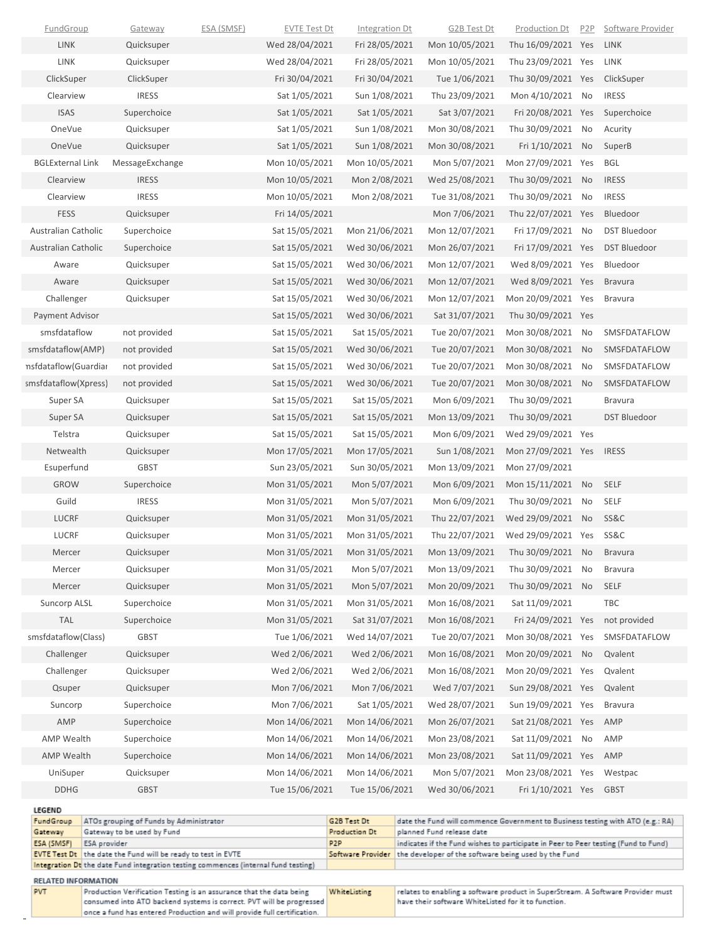| Gateway                 | Gateway to be used by Fund              |            |                                  | Production Dt                   | planned Fund release date                                                      |                                  |                  |                         |
|-------------------------|-----------------------------------------|------------|----------------------------------|---------------------------------|--------------------------------------------------------------------------------|----------------------------------|------------------|-------------------------|
| LEGEND<br>FundGroup     | ATOs grouping of Funds by Administrator |            |                                  | G2B Test Dt                     | date the Fund will commence Government to Business testing with ATO (e.g.: RA) |                                  |                  |                         |
|                         |                                         |            |                                  |                                 |                                                                                |                                  |                  |                         |
| <b>DDHG</b>             | <b>GBST</b>                             |            | Tue 15/06/2021                   | Tue 15/06/2021                  | Wed 30/06/2021                                                                 | Fri 1/10/2021 Yes                |                  | <b>GBST</b>             |
| UniSuper                | Quicksuper                              |            | Mon 14/06/2021                   | Mon 14/06/2021                  | Mon 5/07/2021                                                                  | Mon 23/08/2021 Yes               |                  | Westpac                 |
| <b>AMP Wealth</b>       | Superchoice                             |            | Mon 14/06/2021                   | Mon 14/06/2021                  | Mon 23/08/2021                                                                 | Sat 11/09/2021 Yes               |                  | AMP                     |
| <b>AMP Wealth</b>       | Superchoice                             |            | Mon 14/06/2021                   | Mon 14/06/2021                  | Mon 23/08/2021                                                                 | Sat 11/09/2021 No                |                  | AMP                     |
| AMP                     | Superchoice                             |            | Mon 14/06/2021                   | Mon 14/06/2021                  | Mon 26/07/2021                                                                 | Sat 21/08/2021 Yes               |                  | AMP                     |
| Suncorp                 | Superchoice                             |            | Mon 7/06/2021                    | Sat 1/05/2021                   | Wed 28/07/2021                                                                 | Sun 19/09/2021 Yes               |                  | <b>Bravura</b>          |
| Qsuper                  | Quicksuper                              |            | Mon 7/06/2021                    | Mon 7/06/2021                   | Wed 7/07/2021                                                                  | Sun 29/08/2021 Yes               |                  | Qvalent                 |
| Challenger              | Quicksuper                              |            | Wed 2/06/2021                    | Wed 2/06/2021                   | Mon 16/08/2021                                                                 | Mon 20/09/2021 Yes               |                  | Qvalent                 |
| Challenger              | Quicksuper                              |            | Wed 2/06/2021                    | Wed 2/06/2021                   | Mon 16/08/2021                                                                 | Mon 20/09/2021                   | No               | Qvalent                 |
| smsfdataflow(Class)     | GBST                                    |            | Tue 1/06/2021                    | Wed 14/07/2021                  | Tue 20/07/2021                                                                 | Mon 30/08/2021 Yes               |                  | SMSFDATAFLOW            |
| <b>TAL</b>              | Superchoice                             |            | Mon 31/05/2021                   | Sat 31/07/2021                  | Mon 16/08/2021                                                                 | Fri 24/09/2021 Yes               |                  | not provided            |
| Mercer<br>Suncorp ALSL  | Quicksuper<br>Superchoice               |            | Mon 31/05/2021<br>Mon 31/05/2021 | Mon 5/07/2021<br>Mon 31/05/2021 | Mon 20/09/2021<br>Mon 16/08/2021                                               | Thu 30/09/2021<br>Sat 11/09/2021 | No               | SELF<br>TBC             |
|                         | Quicksuper                              |            |                                  | Mon 5/07/2021                   | Mon 13/09/2021                                                                 | Thu 30/09/2021                   | No               | <b>Bravura</b>          |
| Mercer<br>Mercer        | Quicksuper                              |            | Mon 31/05/2021                   |                                 |                                                                                |                                  | No               | <b>Bravura</b>          |
|                         |                                         |            | Mon 31/05/2021                   | Mon 31/05/2021                  | Mon 13/09/2021                                                                 | Thu 30/09/2021                   |                  |                         |
| LUCRF                   | Quicksuper                              |            | Mon 31/05/2021<br>Mon 31/05/2021 | Mon 31/05/2021                  | Thu 22/07/2021                                                                 | Wed 29/09/2021 Yes               |                  | SS&C                    |
| Guild<br><b>LUCRF</b>   | <b>IRESS</b><br>Quicksuper              |            | Mon 31/05/2021                   | Mon 5/07/2021<br>Mon 31/05/2021 | Mon 6/09/2021<br>Thu 22/07/2021                                                | Thu 30/09/2021<br>Wed 29/09/2021 | No<br>No         | SELF<br><b>SS&amp;C</b> |
| <b>GROW</b>             | Superchoice                             |            | Mon 31/05/2021                   | Mon 5/07/2021                   | Mon 6/09/2021                                                                  | Mon 15/11/2021                   | No               | <b>SELF</b>             |
| Esuperfund              | <b>GBST</b>                             |            | Sun 23/05/2021                   | Sun 30/05/2021                  | Mon 13/09/2021                                                                 | Mon 27/09/2021                   |                  |                         |
| Netwealth               | Quicksuper                              |            | Mon 17/05/2021                   | Mon 17/05/2021                  | Sun 1/08/2021                                                                  | Mon 27/09/2021 Yes               |                  | <b>IRESS</b>            |
| Telstra                 | Quicksuper                              |            | Sat 15/05/2021                   | Sat 15/05/2021                  | Mon 6/09/2021                                                                  | Wed 29/09/2021 Yes               |                  |                         |
| Super SA                | Quicksuper                              |            | Sat 15/05/2021                   | Sat 15/05/2021                  | Mon 13/09/2021                                                                 | Thu 30/09/2021                   |                  | <b>DST Bluedoor</b>     |
| Super SA                | Quicksuper                              |            | Sat 15/05/2021                   | Sat 15/05/2021                  | Mon 6/09/2021                                                                  | Thu 30/09/2021                   |                  | <b>Bravura</b>          |
| smsfdataflow(Xpress)    | not provided                            |            | Sat 15/05/2021                   | Wed 30/06/2021                  | Tue 20/07/2021                                                                 | Mon 30/08/2021                   | No               | SMSFDATAFLOW            |
| nsfdataflow(Guardiar    | not provided                            |            | Sat 15/05/2021                   | Wed 30/06/2021                  | Tue 20/07/2021                                                                 | Mon 30/08/2021                   | No               | SMSFDATAFLOW            |
| smsfdataflow(AMP)       | not provided                            |            | Sat 15/05/2021                   | Wed 30/06/2021                  | Tue 20/07/2021                                                                 | Mon 30/08/2021                   | No               | SMSFDATAFLOW            |
| smsfdataflow            | not provided                            |            | Sat 15/05/2021                   | Sat 15/05/2021                  | Tue 20/07/2021                                                                 | Mon 30/08/2021                   | No               | SMSFDATAFLOW            |
| <b>Payment Advisor</b>  |                                         |            | Sat 15/05/2021                   | Wed 30/06/2021                  | Sat 31/07/2021                                                                 | Thu 30/09/2021 Yes               |                  |                         |
| Challenger              | Quicksuper                              |            | Sat 15/05/2021                   | Wed 30/06/2021                  | Mon 12/07/2021                                                                 | Mon 20/09/2021 Yes               |                  | <b>Bravura</b>          |
| Aware                   | Quicksuper                              |            | Sat 15/05/2021                   | Wed 30/06/2021                  | Mon 12/07/2021                                                                 | Wed 8/09/2021 Yes                |                  | <b>Bravura</b>          |
| Aware                   | Quicksuper                              |            | Sat 15/05/2021                   | Wed 30/06/2021                  | Mon 12/07/2021                                                                 | Wed 8/09/2021 Yes                |                  | Bluedoor                |
| Australian Catholic     | Superchoice                             |            | Sat 15/05/2021                   | Wed 30/06/2021                  | Mon 26/07/2021                                                                 | Fri 17/09/2021 Yes               |                  | <b>DST Bluedoor</b>     |
| Australian Catholic     | Superchoice                             |            | Sat 15/05/2021                   | Mon 21/06/2021                  | Mon 12/07/2021                                                                 | Fri 17/09/2021                   | No               | <b>DST Bluedoor</b>     |
| <b>FESS</b>             | Quicksuper                              |            | Fri 14/05/2021                   |                                 | Mon 7/06/2021                                                                  | Thu 22/07/2021 Yes               |                  | Bluedoor                |
| Clearview               | <b>IRESS</b>                            |            | Mon 10/05/2021                   | Mon 2/08/2021                   | Tue 31/08/2021                                                                 | Thu 30/09/2021                   | No               | <b>IRESS</b>            |
| Clearview               | <b>IRESS</b>                            |            | Mon 10/05/2021                   | Mon 2/08/2021                   | Wed 25/08/2021                                                                 | Thu 30/09/2021                   | No               | <b>IRESS</b>            |
| <b>BGLExternal Link</b> | MessageExchange                         |            | Mon 10/05/2021                   | Mon 10/05/2021                  | Mon 5/07/2021                                                                  | Mon 27/09/2021 Yes               |                  | BGL                     |
| OneVue                  | Quicksuper                              |            | Sat 1/05/2021                    | Sun 1/08/2021                   | Mon 30/08/2021                                                                 | Fri 1/10/2021                    | <b>No</b>        | SuperB                  |
| OneVue                  | Quicksuper                              |            | Sat 1/05/2021                    | Sun 1/08/2021                   | Mon 30/08/2021                                                                 | Thu 30/09/2021                   | No               | Acurity                 |
| <b>ISAS</b>             | Superchoice                             |            | Sat 1/05/2021                    | Sat 1/05/2021                   | Sat 3/07/2021                                                                  | Fri 20/08/2021 Yes               |                  | Superchoice             |
| Clearview               | <b>IRESS</b>                            |            | Sat 1/05/2021                    | Sun 1/08/2021                   | Thu 23/09/2021                                                                 | Mon 4/10/2021                    | No               | <b>IRESS</b>            |
| ClickSuper              | ClickSuper                              |            | Fri 30/04/2021                   | Fri 30/04/2021                  | Tue 1/06/2021                                                                  | Thu 30/09/2021 Yes               |                  | ClickSuper              |
| LINK                    | Quicksuper                              |            | Wed 28/04/2021                   | Fri 28/05/2021                  | Mon 10/05/2021                                                                 | Thu 23/09/2021 Yes               |                  | LINK                    |
| LINK                    | Quicksuper                              |            | Wed 28/04/2021                   | Fri 28/05/2021                  | Mon 10/05/2021                                                                 | Thu 16/09/2021 Yes               |                  | LINK                    |
| FundGroup               | Gateway                                 | ESA (SMSF) | <b>EVTE Test Dt</b>              | Integration Dt                  | G2B Test Dt                                                                    | <b>Production Dt</b>             | P <sub>2</sub> P | Software Provider       |

| Gateway                                                              | Gateway to be used by Fund<br>Production Dt                                         |                  | Dianned Fund release date                                                          |  |  |  |
|----------------------------------------------------------------------|-------------------------------------------------------------------------------------|------------------|------------------------------------------------------------------------------------|--|--|--|
| <b>ESA (SMSF)</b>                                                    | <b>ESA</b> provider                                                                 | P <sub>2</sub> P | indicates if the Fund wishes to participate in Peer to Peer testing (Fund to Fund) |  |  |  |
|                                                                      | EVTE Test Dt the date the Fund will be ready to test in EVTE                        |                  | Software Provider the developer of the software being used by the Fund             |  |  |  |
|                                                                      | Integration Dt the date Fund integration testing commences (internal fund testing)  |                  |                                                                                    |  |  |  |
| <b>RELATED INFORMATION</b>                                           |                                                                                     |                  |                                                                                    |  |  |  |
| <b>PVT</b>                                                           | WhiteListing<br>Production Verification Testing is an assurance that the data being |                  | relates to enabling a software product in SuperStream. A Software Provider must    |  |  |  |
| consumed into ATO backend systems is correct. PVT will be orgeressed |                                                                                     |                  | have their software WhiteListed for it to function.                                |  |  |  |

| <b>PVT</b> | Production Verification Testing is an assurance that the data being     | <b>WhiteListing</b> | relates to enabling a software product in SuperStream. A Software Provider must |
|------------|-------------------------------------------------------------------------|---------------------|---------------------------------------------------------------------------------|
|            | consumed into ATO backend systems is correct. PVT will be progressed    |                     | have their software WhiteListed for it to function.                             |
|            | once a fund has entered Production and will provide full certification. |                     |                                                                                 |
|            |                                                                         |                     |                                                                                 |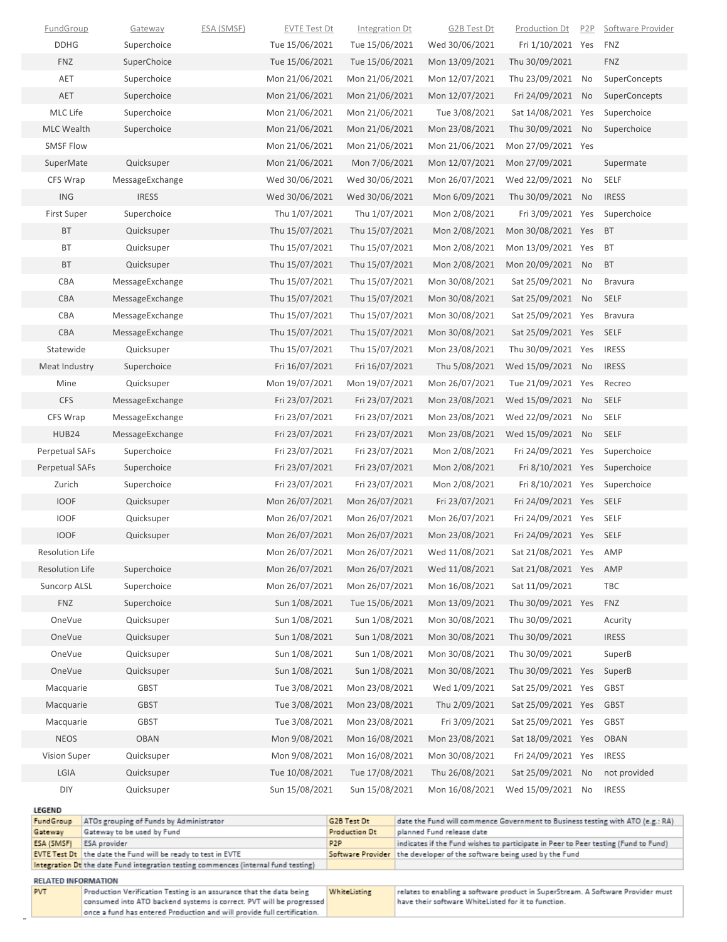|                        | <b>EVTE Test Dt</b> the date the Fund will be ready to test in EVTE<br>Integration Dt the date Fund integration testing commences (internal fund testing) |                   |                     |                              | Software Provider the developer of the software being used by the Fund                                      |                    |                  |                   |
|------------------------|-----------------------------------------------------------------------------------------------------------------------------------------------------------|-------------------|---------------------|------------------------------|-------------------------------------------------------------------------------------------------------------|--------------------|------------------|-------------------|
| ESA (SMSF)             | ESA provider                                                                                                                                              |                   |                     | P <sub>2</sub> P             | indicates if the Fund wishes to participate in Peer to Peer testing (Fund to Fund)                          |                    |                  |                   |
| FundGroup<br>Gateway   | ATOs grouping of Funds by Administrator<br>Gateway to be used by Fund                                                                                     |                   |                     | G2B Test Dt<br>Production Dt | date the Fund will commence Government to Business testing with ATO (e.g.: RA)<br>planned Fund release date |                    |                  |                   |
| <b>LEGEND</b>          |                                                                                                                                                           |                   |                     |                              |                                                                                                             |                    |                  |                   |
| DIY                    | Quicksuper                                                                                                                                                |                   | Sun 15/08/2021      | Sun 15/08/2021               | Mon 16/08/2021                                                                                              | Wed 15/09/2021 No  |                  | <b>IRESS</b>      |
| LGIA                   | Quicksuper                                                                                                                                                |                   | Tue 10/08/2021      | Tue 17/08/2021               | Thu 26/08/2021                                                                                              | Sat 25/09/2021 No  |                  | not provided      |
| Vision Super           | Quicksuper                                                                                                                                                |                   | Mon 9/08/2021       | Mon 16/08/2021               | Mon 30/08/2021                                                                                              | Fri 24/09/2021 Yes |                  | <b>IRESS</b>      |
| <b>NEOS</b>            | <b>OBAN</b>                                                                                                                                               |                   | Mon 9/08/2021       | Mon 16/08/2021               | Mon 23/08/2021                                                                                              | Sat 18/09/2021 Yes |                  | <b>OBAN</b>       |
| Macquarie              | <b>GBST</b>                                                                                                                                               |                   | Tue 3/08/2021       | Mon 23/08/2021               | Fri 3/09/2021                                                                                               | Sat 25/09/2021 Yes |                  | <b>GBST</b>       |
| Macquarie              | <b>GBST</b>                                                                                                                                               |                   | Tue 3/08/2021       | Mon 23/08/2021               | Thu 2/09/2021                                                                                               | Sat 25/09/2021 Yes |                  | <b>GBST</b>       |
| Macquarie              | <b>GBST</b>                                                                                                                                               |                   | Tue 3/08/2021       | Mon 23/08/2021               | Wed 1/09/2021                                                                                               | Sat 25/09/2021 Yes |                  | <b>GBST</b>       |
| OneVue                 | Quicksuper                                                                                                                                                |                   | Sun 1/08/2021       | Sun 1/08/2021                | Mon 30/08/2021                                                                                              | Thu 30/09/2021 Yes |                  | SuperB            |
| OneVue                 | Quicksuper                                                                                                                                                |                   | Sun 1/08/2021       | Sun 1/08/2021                | Mon 30/08/2021                                                                                              | Thu 30/09/2021     |                  | SuperB            |
| OneVue                 | Quicksuper                                                                                                                                                |                   | Sun 1/08/2021       | Sun 1/08/2021                | Mon 30/08/2021                                                                                              | Thu 30/09/2021     |                  | <b>IRESS</b>      |
| OneVue                 | Quicksuper                                                                                                                                                |                   | Sun 1/08/2021       | Sun 1/08/2021                | Mon 30/08/2021                                                                                              | Thu 30/09/2021     |                  | Acurity           |
| <b>FNZ</b>             | Superchoice                                                                                                                                               |                   | Sun 1/08/2021       | Tue 15/06/2021               | Mon 13/09/2021                                                                                              | Thu 30/09/2021 Yes |                  | <b>FNZ</b>        |
| Suncorp ALSL           | Superchoice                                                                                                                                               |                   | Mon 26/07/2021      | Mon 26/07/2021               | Mon 16/08/2021                                                                                              | Sat 11/09/2021     |                  | TBC               |
| <b>Resolution Life</b> | Superchoice                                                                                                                                               |                   | Mon 26/07/2021      | Mon 26/07/2021               | Wed 11/08/2021                                                                                              | Sat 21/08/2021 Yes |                  | AMP               |
| Resolution Life        |                                                                                                                                                           |                   | Mon 26/07/2021      | Mon 26/07/2021               | Wed 11/08/2021                                                                                              | Sat 21/08/2021 Yes |                  | AMP               |
| <b>IOOF</b>            | Quicksuper                                                                                                                                                |                   | Mon 26/07/2021      | Mon 26/07/2021               | Mon 23/08/2021                                                                                              | Fri 24/09/2021 Yes |                  | <b>SELF</b>       |
| <b>IOOF</b>            | Quicksuper                                                                                                                                                |                   | Mon 26/07/2021      | Mon 26/07/2021               | Mon 26/07/2021                                                                                              | Fri 24/09/2021 Yes |                  | SELF              |
| <b>IOOF</b>            | Quicksuper                                                                                                                                                |                   | Mon 26/07/2021      | Mon 26/07/2021               | Fri 23/07/2021                                                                                              | Fri 24/09/2021 Yes |                  | <b>SELF</b>       |
| Zurich                 | Superchoice                                                                                                                                               |                   | Fri 23/07/2021      | Fri 23/07/2021               | Mon 2/08/2021                                                                                               | Fri 8/10/2021 Yes  |                  | Superchoice       |
| <b>Perpetual SAFs</b>  | Superchoice                                                                                                                                               |                   | Fri 23/07/2021      | Fri 23/07/2021               | Mon 2/08/2021                                                                                               | Fri 8/10/2021 Yes  |                  | Superchoice       |
| <b>Perpetual SAFs</b>  | Superchoice                                                                                                                                               |                   | Fri 23/07/2021      | Fri 23/07/2021               | Mon 2/08/2021                                                                                               | Fri 24/09/2021 Yes |                  | Superchoice       |
| HUB24                  | MessageExchange                                                                                                                                           |                   | Fri 23/07/2021      | Fri 23/07/2021               | Mon 23/08/2021                                                                                              | Wed 15/09/2021 No  |                  | <b>SELF</b>       |
| CFS Wrap               | MessageExchange                                                                                                                                           |                   | Fri 23/07/2021      | Fri 23/07/2021               | Mon 23/08/2021                                                                                              | Wed 22/09/2021     | No               | <b>SELF</b>       |
| <b>CFS</b>             | MessageExchange                                                                                                                                           |                   | Fri 23/07/2021      | Fri 23/07/2021               | Mon 23/08/2021                                                                                              | Wed 15/09/2021 No  |                  | <b>SELF</b>       |
| Mine                   | Quicksuper                                                                                                                                                |                   | Mon 19/07/2021      | Mon 19/07/2021               | Mon 26/07/2021                                                                                              | Tue 21/09/2021 Yes |                  | Recreo            |
| Meat Industry          | Superchoice                                                                                                                                               |                   | Fri 16/07/2021      | Fri 16/07/2021               | Thu 5/08/2021                                                                                               | Wed 15/09/2021 No  |                  | <b>IRESS</b>      |
| Statewide              | Quicksuper                                                                                                                                                |                   | Thu 15/07/2021      | Thu 15/07/2021               | Mon 23/08/2021                                                                                              | Thu 30/09/2021 Yes |                  | <b>IRESS</b>      |
| CBA                    | MessageExchange                                                                                                                                           |                   | Thu 15/07/2021      | Thu 15/07/2021               | Mon 30/08/2021                                                                                              | Sat 25/09/2021 Yes |                  | SELF              |
| CBA                    | MessageExchange                                                                                                                                           |                   | Thu 15/07/2021      | Thu 15/07/2021               | Mon 30/08/2021                                                                                              | Sat 25/09/2021 Yes |                  | <b>Bravura</b>    |
| CBA                    | MessageExchange                                                                                                                                           |                   | Thu 15/07/2021      | Thu 15/07/2021               | Mon 30/08/2021                                                                                              | Sat 25/09/2021 No  |                  | <b>SELF</b>       |
| CBA                    | MessageExchange                                                                                                                                           |                   | Thu 15/07/2021      | Thu 15/07/2021               | Mon 30/08/2021                                                                                              | Sat 25/09/2021 No  |                  | <b>Bravura</b>    |
| <b>BT</b>              | Quicksuper                                                                                                                                                |                   | Thu 15/07/2021      | Thu 15/07/2021               | Mon 2/08/2021                                                                                               | Mon 20/09/2021 No  |                  | <b>BT</b>         |
| BT                     | Quicksuper                                                                                                                                                |                   | Thu 15/07/2021      | Thu 15/07/2021               | Mon 2/08/2021                                                                                               | Mon 13/09/2021 Yes |                  | BT                |
| BT                     | Quicksuper                                                                                                                                                |                   | Thu 15/07/2021      | Thu 15/07/2021               | Mon 2/08/2021                                                                                               | Mon 30/08/2021 Yes |                  | <b>BT</b>         |
| <b>First Super</b>     | Superchoice                                                                                                                                               |                   | Thu 1/07/2021       | Thu 1/07/2021                | Mon 2/08/2021                                                                                               | Fri 3/09/2021 Yes  |                  | Superchoice       |
| <b>ING</b>             | <b>IRESS</b>                                                                                                                                              |                   | Wed 30/06/2021      | Wed 30/06/2021               | Mon 6/09/2021                                                                                               | Thu 30/09/2021 No  |                  | <b>IRESS</b>      |
| CFS Wrap               | MessageExchange                                                                                                                                           |                   | Wed 30/06/2021      | Wed 30/06/2021               | Mon 26/07/2021                                                                                              | Wed 22/09/2021 No  |                  | SELF              |
| SuperMate              | Quicksuper                                                                                                                                                |                   | Mon 21/06/2021      | Mon 7/06/2021                | Mon 12/07/2021                                                                                              | Mon 27/09/2021     |                  | Supermate         |
| <b>SMSF Flow</b>       |                                                                                                                                                           |                   | Mon 21/06/2021      | Mon 21/06/2021               | Mon 21/06/2021                                                                                              | Mon 27/09/2021 Yes |                  |                   |
| <b>MLC Wealth</b>      | Superchoice                                                                                                                                               |                   | Mon 21/06/2021      | Mon 21/06/2021               | Mon 23/08/2021                                                                                              | Thu 30/09/2021 No  |                  | Superchoice       |
| MLC Life               | Superchoice                                                                                                                                               |                   | Mon 21/06/2021      | Mon 21/06/2021               | Tue 3/08/2021                                                                                               | Sat 14/08/2021 Yes |                  | Superchoice       |
| AET                    | Superchoice                                                                                                                                               |                   | Mon 21/06/2021      | Mon 21/06/2021               | Mon 12/07/2021                                                                                              | Fri 24/09/2021     | No               | SuperConcepts     |
| AET                    | Superchoice                                                                                                                                               |                   | Mon 21/06/2021      | Mon 21/06/2021               | Mon 12/07/2021                                                                                              | Thu 23/09/2021     | No               | SuperConcepts     |
| <b>FNZ</b>             | SuperChoice                                                                                                                                               |                   | Tue 15/06/2021      | Tue 15/06/2021               | Mon 13/09/2021                                                                                              | Thu 30/09/2021     |                  | <b>FNZ</b>        |
| <b>DDHG</b>            | Superchoice                                                                                                                                               |                   | Tue 15/06/2021      | Tue 15/06/2021               | Wed 30/06/2021                                                                                              | Fri 1/10/2021 Yes  |                  | <b>FNZ</b>        |
| <b>FundGroup</b>       | Gateway                                                                                                                                                   | <u>ESA (SMSF)</u> | <b>EVTE Test Dt</b> | Integration Dt               | <b>G2B Test Dt</b>                                                                                          | Production Dt      | P <sub>2</sub> P | Software Provider |

| RELATED INFORMATION |                                                                                                                                                 |              |                                                                                 |  |  |  |  |
|---------------------|-------------------------------------------------------------------------------------------------------------------------------------------------|--------------|---------------------------------------------------------------------------------|--|--|--|--|
| <b>PVT</b>          | Production Verification Testing is an assurance that the data being                                                                             | WhiteListing | relates to enabling a software product in SuperStream. A Software Provider must |  |  |  |  |
|                     | consumed into ATO backend systems is correct. PVT will be progressed<br>once a fund has entered Production and will provide full certification. |              | have their software WhiteListed for it to function.                             |  |  |  |  |